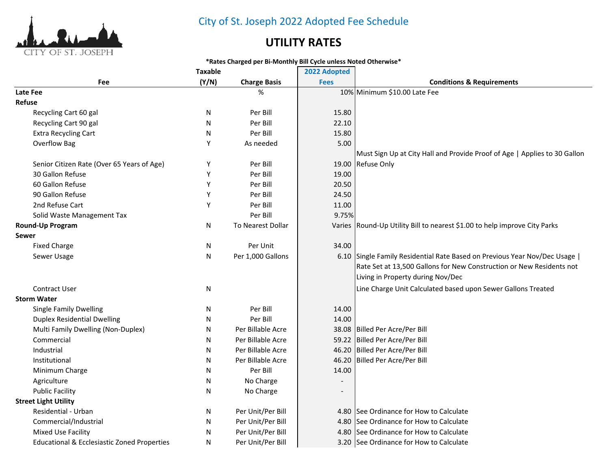

# City of St. Joseph 2022 Adopted Fee Schedule

### **UTILITY RATES**

#### **\*Rates Charged per Bi-Monthly Bill Cycle unless Noted Otherwise\***

| <b>Taxable</b><br>2022 Adopted                                                                                                 |  |
|--------------------------------------------------------------------------------------------------------------------------------|--|
| (Y/N)<br><b>Charge Basis</b><br><b>Conditions &amp; Requirements</b><br>Fee<br><b>Fees</b>                                     |  |
| 10% Minimum \$10.00 Late Fee<br><b>Late Fee</b><br>%                                                                           |  |
| <b>Refuse</b>                                                                                                                  |  |
| Per Bill<br>15.80<br>Recycling Cart 60 gal<br>N                                                                                |  |
| Per Bill<br>N<br>22.10<br>Recycling Cart 90 gal                                                                                |  |
| Per Bill<br>N<br>15.80<br><b>Extra Recycling Cart</b>                                                                          |  |
| Υ<br>5.00<br>Overflow Bag<br>As needed                                                                                         |  |
| Must Sign Up at City Hall and Provide Proof of Age   Applies to 30 Gallon                                                      |  |
| Υ<br>Per Bill<br>19.00 Refuse Only<br>Senior Citizen Rate (Over 65 Years of Age)                                               |  |
| Y<br>30 Gallon Refuse<br>Per Bill<br>19.00                                                                                     |  |
| Y<br>Per Bill<br>60 Gallon Refuse<br>20.50                                                                                     |  |
| Y<br>Per Bill<br>90 Gallon Refuse<br>24.50                                                                                     |  |
| 2nd Refuse Cart<br>Υ<br>Per Bill<br>11.00                                                                                      |  |
| Per Bill<br>9.75%<br>Solid Waste Management Tax                                                                                |  |
| N<br>To Nearest Dollar<br><b>Round-Up Program</b><br>Varies Round-Up Utility Bill to nearest \$1.00 to help improve City Parks |  |
| Sewer                                                                                                                          |  |
| 34.00<br><b>Fixed Charge</b><br>N<br>Per Unit                                                                                  |  |
| N<br>Per 1,000 Gallons<br>Sewer Usage<br>6.10 Single Family Residential Rate Based on Previous Year Nov/Dec Usage              |  |
| Rate Set at 13,500 Gallons for New Construction or New Residents not                                                           |  |
| Living in Property during Nov/Dec                                                                                              |  |
| <b>Contract User</b><br>N<br>Line Charge Unit Calculated based upon Sewer Gallons Treated                                      |  |
| <b>Storm Water</b>                                                                                                             |  |
| Per Bill<br>14.00<br>Single Family Dwelling<br>N                                                                               |  |
| Per Bill<br>14.00<br><b>Duplex Residential Dwelling</b><br>N                                                                   |  |
| Multi Family Dwelling (Non-Duplex)<br>Per Billable Acre<br>38.08 Billed Per Acre/Per Bill<br>N                                 |  |
| 59.22 Billed Per Acre/Per Bill<br>Per Billable Acre<br>Commercial<br>N                                                         |  |
| Per Billable Acre<br>46.20 Billed Per Acre/Per Bill<br>Industrial<br>N                                                         |  |
| Per Billable Acre<br>46.20 Billed Per Acre/Per Bill<br>N<br>Institutional                                                      |  |
| Per Bill<br>14.00<br>Minimum Charge<br>N                                                                                       |  |
| No Charge<br>Agriculture<br>N                                                                                                  |  |
| <b>Public Facility</b><br>No Charge<br>N<br>$\overline{\phantom{a}}$                                                           |  |
| <b>Street Light Utility</b>                                                                                                    |  |
| Per Unit/Per Bill<br>4.80 See Ordinance for How to Calculate<br>Residential - Urban<br>N                                       |  |
| Commercial/Industrial<br>Per Unit/Per Bill<br>4.80 See Ordinance for How to Calculate<br>N                                     |  |
| Per Unit/Per Bill<br>Mixed Use Facility<br>4.80 See Ordinance for How to Calculate<br>N                                        |  |
| N<br>Per Unit/Per Bill<br>3.20 See Ordinance for How to Calculate<br>Educational & Ecclesiastic Zoned Properties               |  |